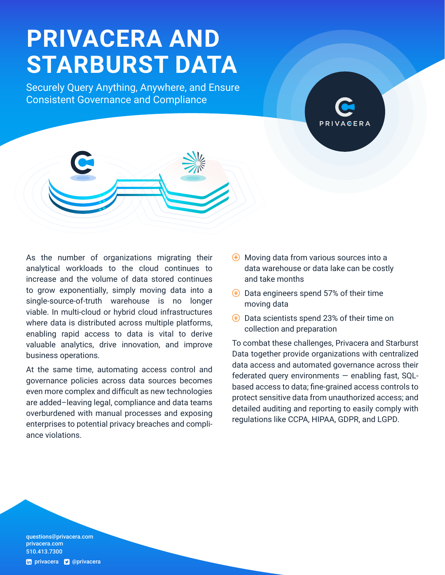# **PRIVACERA AND STARBURST DATA**

Securely Query Anything, Anywhere, and Ensure Consistent Governance and Compliance



At the same time, automating access control and governance policies across data sources becomes even more complex and difficult as new technologies are added–leaving legal, compliance and data teams overburdened with manual processes and exposing enterprises to potential privacy breaches and compliance violations.

- $\overline{\Theta}$  Moving data from various sources into a data warehouse or data lake can be costly and take months
- $\overline{\Theta}$  Data engineers spend 57% of their time moving data
- $\overline{\Theta}$  Data scientists spend 23% of their time on collection and preparation

To combat these challenges, Privacera and Starburst Data together provide organizations with centralized data access and automated governance across their federated query environments — enabling fast, SQLbased access to data; fine-grained access controls to protect sensitive data from unauthorized access; and detailed auditing and reporting to easily comply with regulations like CCPA, HIPAA, GDPR, and LGPD.

questions@[privacera.com](mailto:questions%40privacera.com?subject=)  [privacera.com](http://www.privacera.com) 510.413.7300 th [privacera](http://twitter.com/privacera) **v** @privacera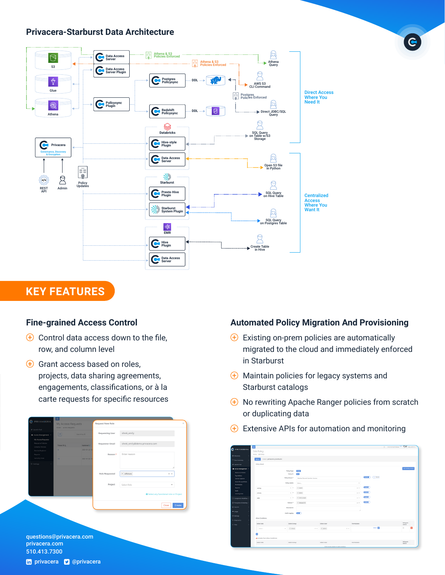#### **Privacera-Starburst Data Architecture**



## **KEY FEATURES**

#### **Fine-grained Access Control**

- $\bigoplus$  Control data access down to the file, row, and column level
- $\overline{f}$  Grant access based on roles. projects, data sharing agreements, engagements, classifications, or à la carte requests for specific resources

| shrek_emily<br><b>Requesting User</b><br>$\boxed{c}$<br>Search by ID<br>A Access Management ~<br>My Access Requests<br>Resource Policies<br>shrek_emily@demo.privacera.com<br><b>Requestor Email</b><br>Ticket ID 15<br>Updated IF<br>Scheme Policies |                 |
|-------------------------------------------------------------------------------------------------------------------------------------------------------------------------------------------------------------------------------------------------------|-----------------|
|                                                                                                                                                                                                                                                       |                 |
|                                                                                                                                                                                                                                                       |                 |
|                                                                                                                                                                                                                                                       |                 |
| 2021-01-22 13:<br>$\circ$<br>Service Explorer                                                                                                                                                                                                         |                 |
| Enter reason<br>Reason *<br>Reports                                                                                                                                                                                                                   |                 |
| Security Zone<br>10<br>2021-01-22 13:                                                                                                                                                                                                                 |                 |
| Settings                                                                                                                                                                                                                                              |                 |
|                                                                                                                                                                                                                                                       |                 |
| $\times$ offshore<br>Role Requested                                                                                                                                                                                                                   | $\times$ $\sim$ |
|                                                                                                                                                                                                                                                       |                 |
| Project<br>Select Role                                                                                                                                                                                                                                | $\;$            |
|                                                                                                                                                                                                                                                       |                 |
|                                                                                                                                                                                                                                                       |                 |

questions@[privacera.com](mailto:questions%40privacera.com?subject=)  [privacera.com](http://www.privacera.com) 510.413.7300

#### **Automated Policy Migration And Provisioning**

- $\bigoplus$  Existing on-prem policies are automatically migrated to the cloud and immediately enforced in Starburst
- $\overline{\Theta}$  Maintain policies for legacy systems and Starburst catalogs
- $\Theta$  No rewriting Apache Ranger policies from scratch or duplicating data
- $\overline{E}$  Extensive APIs for automation and monitoring

| <b>G</b> PRIVAGERA                | Е                                   |                   |                              |                                        |          |                   |                          |                    | G Environment Fiena <sup>631</sup> KWC & padmin - |                     |   |
|-----------------------------------|-------------------------------------|-------------------|------------------------------|----------------------------------------|----------|-------------------|--------------------------|--------------------|---------------------------------------------------|---------------------|---|
|                                   | <b>Edit Policy</b>                  |                   |                              |                                        |          |                   |                          |                    |                                                   |                     |   |
| <b>O</b> Discovery                | Home / Edit Policy                  |                   |                              |                                        |          |                   |                          |                    |                                                   |                     |   |
| F) Data Inventory                 | savice privacera starburst<br>$+0x$ |                   |                              |                                        |          |                   |                          |                    |                                                   |                     |   |
| # Laureh Pail                     | Policy Detail                       |                   |                              |                                        |          |                   |                          |                    |                                                   |                     |   |
| A Access Management V             |                                     |                   |                              |                                        |          |                   |                          |                    |                                                   | Add Validity Period |   |
| <b>Resource Policies</b>          |                                     | Policy Type       | Allen                        |                                        |          |                   |                          |                    |                                                   |                     |   |
| <b>Tag Policies</b>               |                                     | Police ID         | 300                          |                                        |          |                   |                          |                    |                                                   |                     |   |
| Service Expirement                |                                     | Policy Name *     | Medical Record Number Access |                                        |          |                   | <b>County</b> ( ) Normal |                    |                                                   |                     |   |
| <b>Users/Groups/Roles</b>         |                                     | Policy Labels     | Select.                      |                                        |          | $\sim$            |                          |                    |                                                   |                     |   |
| Permissions                       |                                     |                   |                              |                                        |          |                   |                          |                    |                                                   |                     |   |
| Reports                           | catalog                             | $-1$              | * marie                      |                                        |          | $\times$ $\times$ | <b>ROOM</b>              |                    |                                                   |                     |   |
| Audit<br>Security Zone            | shema                               | $-1$              | x daws                       |                                        |          | $\times$ $\cdot$  | <b>Change</b>            |                    |                                                   |                     |   |
|                                   |                                     |                   |                              |                                        |          |                   | <b>Bosto</b>             |                    |                                                   |                     |   |
| C Compilance Workflow             | sale                                | $\sim$ $\sim$     | · dam output                 |                                        |          | $\times$          |                          |                    |                                                   |                     |   |
| <sup>2</sup> Incryption & Masking |                                     | Column *          | · degrauf id                 |                                        |          | $\times$          | <b>TESTOR</b>            |                    |                                                   |                     |   |
| <sup>2</sup> keports              |                                     | Description       |                              |                                        |          |                   |                          |                    |                                                   |                     |   |
|                                   |                                     |                   |                              |                                        |          |                   |                          |                    |                                                   |                     |   |
| $-$ Usinger                       |                                     | Audit Logging     | $\sim$                       |                                        |          |                   |                          |                    |                                                   |                     |   |
| O Settings                        | Allow Conditions                    |                   |                              |                                        |          |                   |                          |                    |                                                   |                     |   |
| A Diegnostics                     |                                     |                   |                              |                                        |          |                   |                          |                    |                                                   |                     |   |
| & Help                            | Select Rale                         | Select Group      |                              | Select User                            |          | Permissions       |                          |                    |                                                   | Delegate<br>Admin   |   |
|                                   | Salest                              | v dvice<br>$\sim$ | $\times$ $\times$            | v admin                                | $\times$ |                   |                          | Sover <sub>2</sub> |                                                   | $\circ$             | ٠ |
|                                   |                                     |                   |                              |                                        |          |                   |                          |                    |                                                   |                     |   |
|                                   | b.                                  |                   |                              |                                        |          |                   |                          |                    |                                                   |                     |   |
|                                   | A Exclude from Allow Conditions     |                   |                              |                                        |          |                   |                          |                    |                                                   |                     |   |
|                                   |                                     |                   |                              |                                        |          |                   |                          |                    |                                                   | Delegate            |   |
|                                   | Salary Bale                         | Select Group      |                              | Salert User                            |          | Permissions       |                          |                    |                                                   | Adesin.             |   |
|                                   |                                     |                   |                              | Click on plus button to add condition. |          |                   |                          |                    |                                                   |                     |   |

th [privacera](http://twitter.com/privacera) **D** @privacera